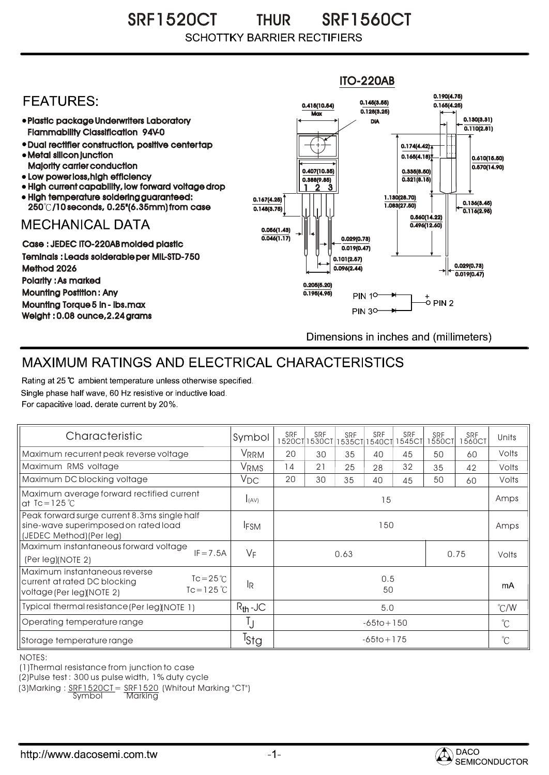SRF1520CT THUR SRF1560CT THUR **SCHOTTKY BARRIER RECTIFIERS** 



## MAXIMUM RATINGS AND ELECTRICAL CHARACTERISTICS

Rating at 25 °C ambient temperature unless otherwise specified. Single phase half wave, 60 Hz resistive or inductive load. For capacitive load, derate current by 20%.

| Characteristic                                                                                                                   | Symbol           | <b>SRF</b>     | SRF<br>1520CT 1530CT | SRF<br>1535CT1 | SRF<br>540CT | <b>SRF</b><br><b>1545CT</b> | SRF<br>1550CT | SRF<br>1560CT | Units         |
|----------------------------------------------------------------------------------------------------------------------------------|------------------|----------------|----------------------|----------------|--------------|-----------------------------|---------------|---------------|---------------|
| Maximum recurrent peak reverse voltage                                                                                           | <b>VRRM</b>      | 20             | 30                   | 35             | 40           | 45                          | 50            | 60            | Volts         |
| Maximum RMS voltage                                                                                                              | VRMS             | 14             | 21                   | 25             | 28           | 32                          | 35            | 42            | Volts         |
| Maximum DC blocking voltage                                                                                                      | $V_{DC}$         | 20             | 30                   | 35             | 40           | 45                          | 50            | 60            | Volts         |
| Maximum average forward rectified current<br>at $Tc = 125$ °C                                                                    | I(AV)            | 15             |                      |                |              |                             |               |               | Amps          |
| Peak forward surge current 8.3ms single half<br>sine-wave superimposed on rated load<br>(JEDEC Method) (Per leg)                 | <b>IFSM</b>      | 150            |                      |                |              |                             |               |               | Amps          |
| Maximum instantaneous forward voltage<br>$IF = 7.5A$<br>(Per leg)(NOTE 2)                                                        | $V_F$            | 0.63<br>0.75   |                      |                |              |                             |               | Volts         |               |
| Maximum instantaneous reverse<br>$Tc = 25^{\circ}$<br>current at rated DC blocking<br>$Tc = 125$ °C<br>voltage (Per leg)(NOTE 2) | 1R               | 0.5<br>50      |                      |                |              |                             |               |               | mA            |
| Typical thermal resistance (Per leg)(NOTE 1)                                                                                     | $R_{th}$ -JC     | 5.0            |                      |                |              |                             |               |               | $\degree$ C/W |
| Operating temperature range                                                                                                      |                  | $-65$ to + 150 |                      |                |              |                             |               |               | $^{\circ}$ C  |
| Storage temperature range                                                                                                        | <sup>I</sup> Stg | $-65$ to + 175 |                      |                |              |                             |               |               | $^{\circ}$ C  |

NOTES:

(1)Thermal resistance from junction to case

(2)Pulse test : 300 us pulse width, 1% duty cycle

(3)Marking : <u>SRF1520CT</u>= <u>SRF1520</u> (Whitout Marking "CT")

Symbol Marking